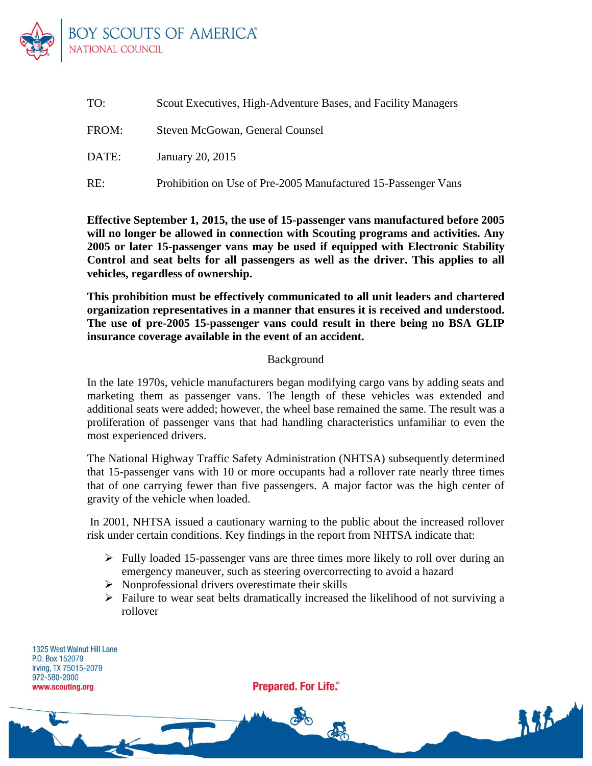

| TO:   | Scout Executives, High-Adventure Bases, and Facility Managers |
|-------|---------------------------------------------------------------|
| FROM: | Steven McGowan, General Counsel                               |
| DATE: | January 20, 2015                                              |
| RE:   | Prohibition on Use of Pre-2005 Manufactured 15-Passenger Vans |

**Effective September 1, 2015, the use of 15-passenger vans manufactured before 2005 will no longer be allowed in connection with Scouting programs and activities. Any 2005 or later 15-passenger vans may be used if equipped with Electronic Stability Control and seat belts for all passengers as well as the driver. This applies to all vehicles, regardless of ownership.**

**This prohibition must be effectively communicated to all unit leaders and chartered organization representatives in a manner that ensures it is received and understood. The use of pre-2005 15-passenger vans could result in there being no BSA GLIP insurance coverage available in the event of an accident.**

## Background

In the late 1970s, vehicle manufacturers began modifying cargo vans by adding seats and marketing them as passenger vans. The length of these vehicles was extended and additional seats were added; however, the wheel base remained the same. The result was a proliferation of passenger vans that had handling characteristics unfamiliar to even the most experienced drivers.

The National Highway Traffic Safety Administration (NHTSA) subsequently determined that 15-passenger vans with 10 or more occupants had a rollover rate nearly three times that of one carrying fewer than five passengers. A major factor was the high center of gravity of the vehicle when loaded.

In 2001, NHTSA issued a cautionary warning to the public about the increased rollover risk under certain conditions. Key findings in the report from NHTSA indicate that:

- $\triangleright$  Fully loaded 15-passenger vans are three times more likely to roll over during an emergency maneuver, such as steering overcorrecting to avoid a hazard
- $\triangleright$  Nonprofessional drivers overestimate their skills
- $\triangleright$  Failure to wear seat belts dramatically increased the likelihood of not surviving a rollover

1325 West Walnut Hill Lane P.O. Box 152079 Irving, TX 75015-2079 972-580-2000 www.scouting.org

**Prepared. For Life.**®

d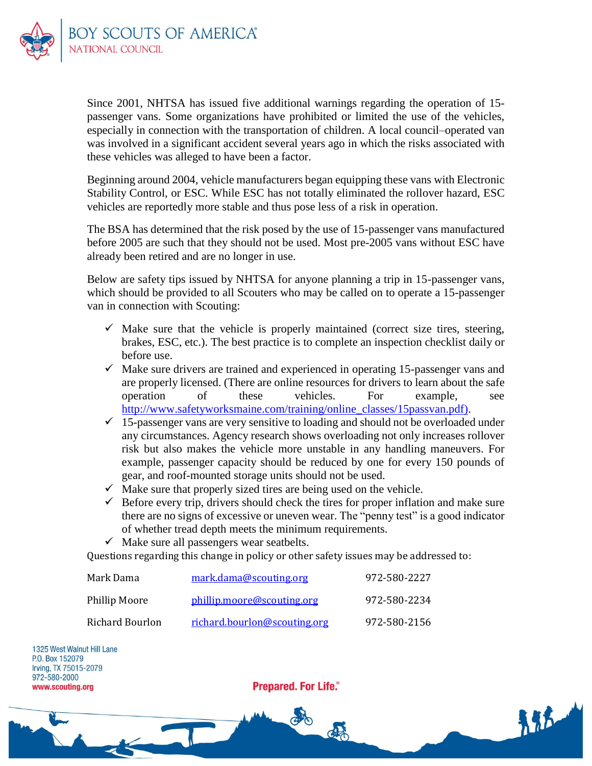

Since 2001, NHTSA has issued five additional warnings regarding the operation of 15 passenger vans. Some organizations have prohibited or limited the use of the vehicles, especially in connection with the transportation of children. A local council–operated van was involved in a significant accident several years ago in which the risks associated with these vehicles was alleged to have been a factor.

Beginning around 2004, vehicle manufacturers began equipping these vans with Electronic Stability Control, or ESC. While ESC has not totally eliminated the rollover hazard, ESC vehicles are reportedly more stable and thus pose less of a risk in operation.

The BSA has determined that the risk posed by the use of 15-passenger vans manufactured before 2005 are such that they should not be used. Most pre-2005 vans without ESC have already been retired and are no longer in use.

Below are safety tips issued by NHTSA for anyone planning a trip in 15-passenger vans, which should be provided to all Scouters who may be called on to operate a 15-passenger van in connection with Scouting:

- $\checkmark$  Make sure that the vehicle is properly maintained (correct size tires, steering, brakes, ESC, etc.). The best practice is to complete an inspection checklist daily or before use.
- $\checkmark$  Make sure drivers are trained and experienced in operating 15-passenger vans and are properly licensed. (There are online resources for drivers to learn about the safe operation of these vehicles. For example, see [http://www.safetyworksmaine.com/training/online\\_classes/15passvan.pdf\)](http://www.safetyworksmaine.com/training/online_classes/15passvan.pdf).
- $\checkmark$  15-passenger vans are very sensitive to loading and should not be overloaded under any circumstances. Agency research shows overloading not only increases rollover risk but also makes the vehicle more unstable in any handling maneuvers. For example, passenger capacity should be reduced by one for every 150 pounds of gear, and roof-mounted storage units should not be used.
- $\checkmark$  Make sure that properly sized tires are being used on the vehicle.
- $\checkmark$  Before every trip, drivers should check the tires for proper inflation and make sure there are no signs of excessive or uneven wear. The "penny test" is a good indicator of whether tread depth meets the minimum requirements.
- $\checkmark$  Make sure all passengers wear seatbelts.

Questions regarding this change in policy or other safety issues may be addressed to:

| Mark Dama       | mark.dama@scouting.org       | 972-580-2227 |
|-----------------|------------------------------|--------------|
| Phillip Moore   | phillip.moore@scouting.org   | 972-580-2234 |
| Richard Bourlon | richard.bourlon@scouting.org | 972-580-2156 |

1325 West Walnut Hill Lane P.O. Box 152079 Irving, TX 75015-2079 972-580-2000 www.scouting.org

**Prepared. For Life.**®

de

朱花